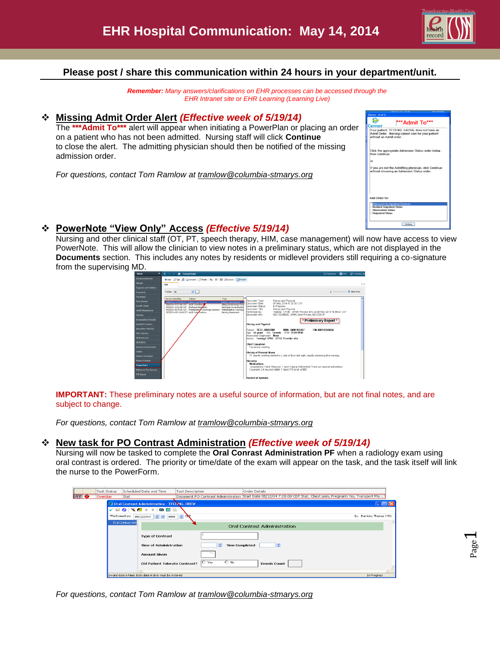

Page  $\overline{\phantom{0}}$ 

### **Please post / share this communication within 24 hours in your department/unit.**

*Remember: Many answers/clarifications on EHR processes can be accessed through the EHR Intranet site or EHR Learning (Learning Live)*

#### **Missing Admit Order Alert** *(Effective week of 5/19/14)*

The **\*\*\*Admit To\*\*\*** alert will appear when initiating a PowerPlan or placing an order on a patient who has not been admitted. Nursing staff will click **Continue** to close the alert. The admitting physician should then be notified of the missing admission order.

*For questions, contact Tom Ramlow at tramlow@columbia-stmarys.org*

| Discern: (1 of 1)                                                                                                                   |
|-------------------------------------------------------------------------------------------------------------------------------------|
| "**Admit To***                                                                                                                      |
| Your patient, TESTING, LAURA, does not have an<br>Admit Order. Nursing cannot care for your patient<br>without an Admit order.      |
| Click the appropriate Admission Status order below.<br>then Continue.                                                               |
| or                                                                                                                                  |
| If you are not the Admitting physician, click Continue<br>without choosing an Admission Status order.                               |
| Add Order for:                                                                                                                      |
| <b>Admission for Inpatient Services</b><br><b>Bedded Outpotient Status</b><br><b>Observation Status</b><br><b>Outpatient Status</b> |
| Continue                                                                                                                            |

### **PowerNote "View Only" Access** *(Effective 5/19/14)*

Nursing and other clinical staff (OT, PT, speech therapy, HIM, case management) will now have access to view PowerNote. This will allow the clinician to view notes in a preliminary status, which are not displayed in the **Documents** section. This includes any notes by residents or midlevel providers still requiring a co-signature from the supervising MD.



**IMPORTANT:** These preliminary notes are a useful source of information, but are not final notes, and are subject to change.

*For questions, contact Tom Ramlow at [tramlow@columbia-stmarys.org](mailto:tramlow@columbia-stmarys.org)*

### **New task for PO Contrast Administration** *(Effective week of 5/19/14)*

Nursing will now be tasked to complete the **Oral Conrast Administration PF** when a radiology exam using oral contrast is ordered. The priority or time/date of the exam will appear on the task, and the task itself will link the nurse to the PowerForm.

|                  | Task Status |                                                                            | Scheduled Date and Time                               | Task Description |                                         | Order Details |                              |                                                                                                                  |
|------------------|-------------|----------------------------------------------------------------------------|-------------------------------------------------------|------------------|-----------------------------------------|---------------|------------------------------|------------------------------------------------------------------------------------------------------------------|
| 440<br>$\bullet$ | Overdue     | Stat                                                                       |                                                       |                  |                                         |               |                              | Document PO Contrast Administration Start Date 05/12/14 7:28:00 CDT Stat, Chest pain, Pregnant: No, Transport Mo |
|                  |             |                                                                            | <b>Deal Contrast Administration - TESTING, DREW</b>   |                  |                                         |               |                              | - 181                                                                                                            |
|                  | ✓           | $\blacksquare$ $\blacksquare$ $\blacksquare$ $\blacksquare$ $\blacksquare$ | 画窗脸                                                   |                  |                                         |               |                              |                                                                                                                  |
|                  |             | *Performed on:                                                             | 05/12/2014 $\circ$ $\sim$ 0858 $\circ$                | $\sim$           |                                         |               |                              | By: Ramlow, Thomas J RN                                                                                          |
|                  |             | <b>Oral Contrast Adm</b>                                                   |                                                       |                  |                                         |               | Oral Contrast Administration |                                                                                                                  |
|                  |             |                                                                            |                                                       |                  |                                         |               |                              |                                                                                                                  |
|                  |             |                                                                            | <b>Type of Contrast</b>                               |                  |                                         |               |                              |                                                                                                                  |
|                  |             |                                                                            | <b>Time of Administration</b>                         |                  | ٠<br><b>Time Completed</b>              |               | $\hat{z}$                    |                                                                                                                  |
|                  |             |                                                                            | Amount Given                                          |                  | mL                                      |               |                              |                                                                                                                  |
|                  |             |                                                                            | <b>Did Patient Tolerate Contrast?</b>                 |                  | $\overline{\bigcirc}$ No<br>$\circ$ Yes |               | <b>Emesis Count</b>          |                                                                                                                  |
|                  |             |                                                                            |                                                       |                  |                                         |               |                              |                                                                                                                  |
|                  |             |                                                                            | Invalid date & time: Both date & time must be entered |                  |                                         |               |                              | In Progress                                                                                                      |

*For questions, contact Tom Ramlow at [tramlow@columbia-stmarys.org](mailto:tramlow@columbia-stmarys.org)*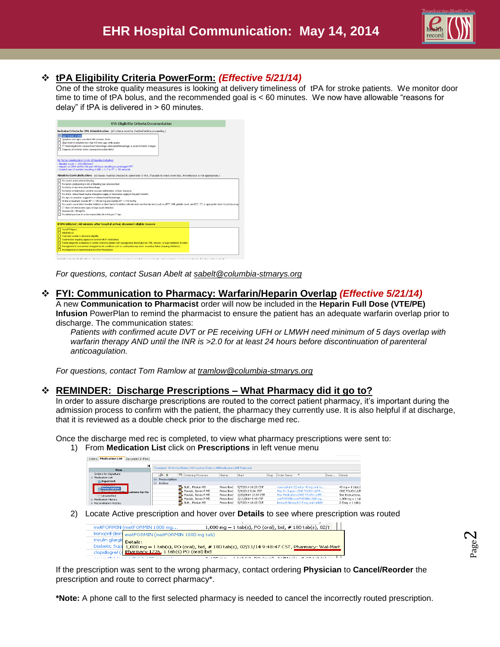

Page  $\boldsymbol{\sim}$ 

### **tPA Eligibility Criteria PowerForm:** *(Effective 5/21/14)*

One of the stroke quality measures is looking at delivery timeliness of tPA for stroke patients. We monitor door time to time of tPA bolus, and the recommended goal is < 60 minutes. We now have allowable "reasons for delay" if tPA is delivered in > 60 minutes.

| Inclusion Criteria for tPA Administration (All criteria must be checked before proceeding.)<br>Age 18 years or older<br>Symptoms and signs consistent with ischemic stroke<br>Clear onset of symptoms less than 4.5 hours ago, while awake<br>CT head negative for subarachnoid hemorrhage, intracranial hemorrhage, or acute ischemic changes<br>T Disgnosis of ischemic stroke causing measurable deficit<br>No factors predisposing to risk of bleeding including:<br>- Platelet count < $100.000$ /mm3<br>- Heparin or LMW within the past 48 hours resulting in prolonged PTT<br>- Current use of warfarin resulting in INR > 1.7 or PT > 15 seconds<br>Absolute Contraindications (All boxes must be checked to administer IV IPA, If unable to check every box, thrombolysis is not appropriate.)<br>No current active internal bleeding<br>No factors predisposing to risk of bleeding (see reference text)<br>No history of any intracranial hemorrhage<br>No history of brain tumor, cerebral vascular mallomation, or brain aneurysm<br>No stroke, serious head trauma, intraspinal surgery or intracranial surgery in the past 3 months<br>No signs or symptoms suggestive of subarachnoid hemorrhage<br>At time of treatment, Systolic BP <= 185 mm Hg and Diastolic BP <= 110 mm Hg<br>No current use of direct thrombin inhibitors or direct factor Xa inbitors with elevated sensitive lab tests (such as aPTT, INR, platelet count, and ECT, TT, or appropriate factor Xa activity assaul<br>CT does not demonstrate signs of large acute infarction<br>Glucose not < 50 mg/DL<br>No arterial puncture at a noncompressible site in the past 7 days |
|----------------------------------------------------------------------------------------------------------------------------------------------------------------------------------------------------------------------------------------------------------------------------------------------------------------------------------------------------------------------------------------------------------------------------------------------------------------------------------------------------------------------------------------------------------------------------------------------------------------------------------------------------------------------------------------------------------------------------------------------------------------------------------------------------------------------------------------------------------------------------------------------------------------------------------------------------------------------------------------------------------------------------------------------------------------------------------------------------------------------------------------------------------------------------------------------------------------------------------------------------------------------------------------------------------------------------------------------------------------------------------------------------------------------------------------------------------------------------------------------------------------------------------------------------------------------------------------------------------------------------------------------------------------------|
|                                                                                                                                                                                                                                                                                                                                                                                                                                                                                                                                                                                                                                                                                                                                                                                                                                                                                                                                                                                                                                                                                                                                                                                                                                                                                                                                                                                                                                                                                                                                                                                                                                                                      |
|                                                                                                                                                                                                                                                                                                                                                                                                                                                                                                                                                                                                                                                                                                                                                                                                                                                                                                                                                                                                                                                                                                                                                                                                                                                                                                                                                                                                                                                                                                                                                                                                                                                                      |
|                                                                                                                                                                                                                                                                                                                                                                                                                                                                                                                                                                                                                                                                                                                                                                                                                                                                                                                                                                                                                                                                                                                                                                                                                                                                                                                                                                                                                                                                                                                                                                                                                                                                      |
|                                                                                                                                                                                                                                                                                                                                                                                                                                                                                                                                                                                                                                                                                                                                                                                                                                                                                                                                                                                                                                                                                                                                                                                                                                                                                                                                                                                                                                                                                                                                                                                                                                                                      |
|                                                                                                                                                                                                                                                                                                                                                                                                                                                                                                                                                                                                                                                                                                                                                                                                                                                                                                                                                                                                                                                                                                                                                                                                                                                                                                                                                                                                                                                                                                                                                                                                                                                                      |
| If tPA initiated >60 minutes after hospital arrival, document eligible reasons                                                                                                                                                                                                                                                                                                                                                                                                                                                                                                                                                                                                                                                                                                                                                                                                                                                                                                                                                                                                                                                                                                                                                                                                                                                                                                                                                                                                                                                                                                                                                                                       |
| Social/Religious<br><b>FT</b> Initial refusal<br><b>FI</b> Care-team unable to determine eligibility<br>Hypertension requiring aggressive control with IV medications<br>Further diagnostic evaluation to confirm stroke for patients with hypoglycemia (blood glucose <50), seizures, or major metabolic disorders<br>Management of concomitant emergent/acute conditions such as cardiopulmonary arest, respiratory failure frequiring intubation)<br>T1 Investigational or experimental protocol for thrombolysis                                                                                                                                                                                                                                                                                                                                                                                                                                                                                                                                                                                                                                                                                                                                                                                                                                                                                                                                                                                                                                                                                                                                                 |

*For questions, contact Susan Abelt at [sabelt@columbia-stmarys.org](mailto:sabelt@columbia-stmarys.org)*

#### **FYI: Communication to Pharmacy: Warfarin/Heparin Overlap** *(Effective 5/21/14)*

A new **Communication to Pharmacist** order will now be included in the **Heparin Full Dose (VTE/PE) Infusion** PowerPlan to remind the pharmacist to ensure the patient has an adequate warfarin overlap prior to discharge. The communication states:

*Patients with confirmed acute DVT or PE receiving UFH or LMWH need minimum of 5 days overlap with warfarin therapy AND until the INR is >2.0 for at least 24 hours before discontinuation of parenteral anticoagulation.* 

*For questions, contact Tom Ramlow at tramlow@columbia-stmarys.org*

#### **REMINDER: Discharge Prescriptions – What Pharmacy did it go to?**

In order to assure discharge prescriptions are routed to the correct patient pharmacy, it's important during the admission process to confirm with the patient, the pharmacy they currently use. It is also helpful if at discharge, that it is reviewed as a double check prior to the discharge med rec.

Once the discharge med rec is completed, to view what pharmacy prescriptions were sent to:

#### 1) From **Medication List** click on **Prescriptions** in left venue menu

| <b>Medication List</b><br>Document In Plan<br>Orders |                                       |                                                                                     |               |                     |      |            |                                            |               |                                    |
|------------------------------------------------------|---------------------------------------|-------------------------------------------------------------------------------------|---------------|---------------------|------|------------|--------------------------------------------|---------------|------------------------------------|
| и<br><b>View</b>                                     |                                       | Displayed: All Active Orders   All Inactive Orders   All Medications [All Statuses] |               |                     |      |            |                                            |               |                                    |
| Orders for Signature<br><b>C</b> -Medication List    | $\delta$<br>l \$<br>Prescription<br>в | B Ordering Physician                                                                | <b>Status</b> | Start               | Stop | Order Name |                                            | Dose  Details |                                    |
| <b>M</b> Inpatient<br><b>CONTRACTOR COMPANY</b>      | <b>E</b><br>Active                    |                                                                                     |               |                     |      |            |                                            |               |                                    |
| <b>Prescription</b>                                  |                                       | <b>T.</b> Butt . Marium MD                                                          | Prescribed    | 5/7/2014 10:20 CDT  |      |            | rosuvastatin (Crestor 40 mg oral ta        |               | $40 \text{ mg} = 1 \text{ tab(s)}$ |
| <b>Dominican Professor</b><br>cations by Hx          |                                       | <b>T.</b> Pawlak, James R MD                                                        | Prescribed    | 7/9/2012 8:26 CDT   |      |            | Misc Rx Supply (ONE TOUCH ULTR             |               | ONE TOUCH ULTI                     |
| Unspecified                                          |                                       | T. Pawlak, James R MD                                                               | Prescribed    | 2/20/2014 12:04 CST |      |            | Misc Medication (ONE TOUCH ULTR            |               | See Instructions.                  |
| Medication History                                   |                                       | Pawlak, James R MD                                                                  | Prescribed    | 2/11/2014 9:48 CST  |      |            | metFORMIN (metFORMIN 1000 mg               |               | $1.000 \text{ ma} = 1 \text{ tak}$ |
| <b>B</b> Reconciliation History                      |                                       | <b>T.</b> Butt . Marium MD                                                          | Prescribed    | 5/7/2014 10:20 CDT  |      |            | lisinopril (lisinopril 2.5 mg oral tablet) |               | $2.5$ mg $= 1$ tab(s)              |

2) Locate Active prescription and hover over **Details** to see where prescription was routed



If the prescription was sent to the wrong pharmacy, contact ordering **Physician** to **Cancel/Reorder** the prescription and route to correct pharmacy\*.

**\*Note:** A phone call to the first selected pharmacy is needed to cancel the incorrectly routed prescription.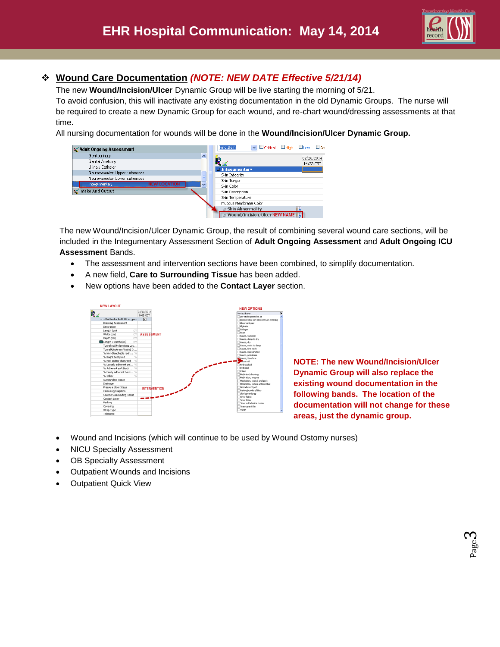

Page ო

## **Wound Care Documentation** *(NOTE: NEW DATE Effective 5/21/14)*

The new **Wound/Incision/Ulcer** Dynamic Group will be live starting the morning of 5/21.

To avoid confusion, this will inactivate any existing documentation in the old Dynamic Groups. The nurse will be required to create a new Dynamic Group for each wound, and re-chart wound/dressing assessments at that time.

All nursing documentation for wounds will be done in the **Wound/Incision/Ulcer Dynamic Group.**

| Adult Ongoing Assessment        |                  | Find Item                      | VILICritical LiHigh LiLow LiAb  |  |            |
|---------------------------------|------------------|--------------------------------|---------------------------------|--|------------|
| Genitourinary                   | $\triangleright$ |                                |                                 |  | 02/26/2014 |
| Genital Anatomy                 |                  | iil I                          |                                 |  | 14:23 CST  |
| Urinary Catheter                |                  | $\blacktriangle$ Integumentary |                                 |  |            |
| Neurovascular-Upper Extremities |                  | Skin Integrity                 |                                 |  |            |
| Neurovascular-Lower Extremities |                  | Skin Turgor                    |                                 |  |            |
| Integumentary                   | v                | Skin Color                     |                                 |  |            |
| Intake And Output               |                  | Skin Description               |                                 |  |            |
|                                 |                  | Skin Temperature               |                                 |  |            |
|                                 |                  | Mucous Membrane Color          |                                 |  |            |
|                                 |                  | ⊿ Skin Abnormality             |                                 |  |            |
|                                 |                  |                                | 4 Wound/Incision/Ulcer NEW NAME |  |            |

The new Wound/Incision/Ulcer Dynamic Group, the result of combining several wound care sections, will be included in the Integumentary Assessment Section of **Adult Ongoing Assessment** and **Adult Ongoing ICU Assessment** Bands.

- The assessment and intervention sections have been combined, to simplify documentation.
- A new field, **Care to Surrounding Tissue** has been added.
- New options have been added to the **Contact Layer** section.



**NOTE: The new Wound/Incision/Ulcer Dynamic Group will also replace the existing wound documentation in the following bands. The location of the documentation will not change for these areas, just the dynamic group.**

- Wound and Incisions (which will continue to be used by Wound Ostomy nurses)
- NICU Specialty Assessment
- OB Specialty Assessment
- Outpatient Wounds and Incisions
- Outpatient Quick View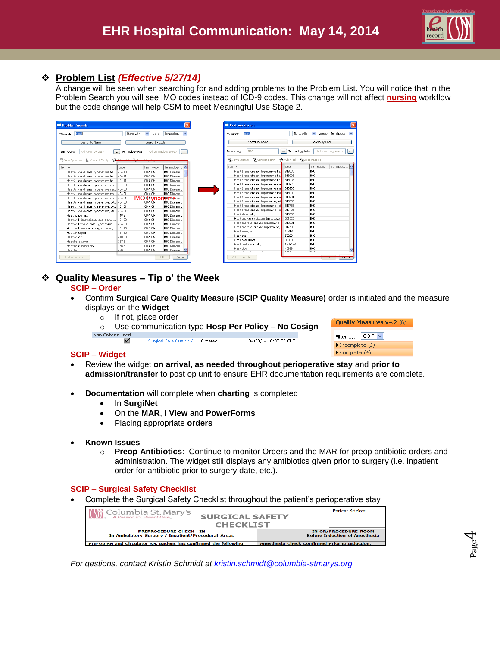

Page  $\overline{\mathcal{A}}$ 

#### **Problem List** *(Effective 5/27/14)*

A change will be seen when searching for and adding problems to the Problem List. You will notice that in the Problem Search you will see IMO codes instead of ICD-9 codes. This change will not affect **nursing** workflow but the code change will help CSM to meet Meaningful Use Stage 2.



| Search by Name                            |                             | Search by Code  |                                                                           |
|-------------------------------------------|-----------------------------|-----------------|---------------------------------------------------------------------------|
| Terminology:<br><b>TMO</b>                | Terminology Axis:<br>$\sim$ |                 | <all axes="" terminology=""><br/><math display="inline">\sim</math></all> |
| Wew Synonym<br>Concept Family             | MMulti Axial                | EnCross Mapping |                                                                           |
| $Term -$                                  | Code                        | Terminology     | Terminology                                                               |
| Heart & renal disease, hypertensive be.   | 819035                      | IMO             |                                                                           |
| Heart & renal disease, hypertensive be    | 819203                      | IMO             |                                                                           |
| Heart & renal disease, hypertensive be    | 819036                      | IMO             |                                                                           |
| Heart & renal disease, hypertensive mal   | 819279                      | <b>IMO</b>      |                                                                           |
| Heart & renal disease, hypertensive mal   | 819280                      | <b>IMO</b>      |                                                                           |
| Heart & renal disease, hypertensive mal   | 819202                      | <b>IMO</b>      |                                                                           |
| Heart & renal disease, hypertensive mal   | 819281                      | <b>IMO</b>      |                                                                           |
| Heart & renal disease, hypertensive, wit. | 819505                      | <b>IMO</b>      |                                                                           |
| Heart & renal disease, hypertensive, wit  | 817796                      | <b>IMO</b>      |                                                                           |
| Heart & renal disease, hypertensive, wit. | 817785                      | <b>IMO</b>      |                                                                           |
| Heart abnormality                         | 313693                      | <b>IMO</b>      |                                                                           |
| Heart and kidney disease due to sever.    | 501525                      | <b>IMO</b>      |                                                                           |
| Heart and renal disease, hypertensive     | 819201                      | IMO             |                                                                           |
| Heart and renal disease, hypertensive,    | 817592                      | <b>IMO</b>      |                                                                           |
| Heart aneurusm                            | 45618                       | <b>IMO</b>      |                                                                           |
| Heat attack                               | 50263                       | <b>IMO</b>      |                                                                           |
| Heart base tumor                          | 36879                       | <b>IMO</b>      |                                                                           |
| Heart beat abnormality                    | 1807168                     | <b>IMO</b>      |                                                                           |
| Heart bloc                                | 45636                       | <b>IMO</b>      |                                                                           |

### **Quality Measures – Tip o' the Week**

#### **SCIP – Order**

- Confirm **Surgical Care Quality Measure (SCIP Quality Measure)** order is initiated and the measure displays on the **Widget**
	- o If not, place order
	- o Use communication type **Hosp Per Policy – No Cosign**
	- **Non Categorized** Surgical Care Quality M… Or<mark>dered</mark> 04/23/14 18:07:00 CDT

|                                      | Quality Measures v4.2 (6) |  |  |  |
|--------------------------------------|---------------------------|--|--|--|
| Filter by: $ SCIP $ $\vee$           |                           |  |  |  |
| $\triangleright$ Incomplete (2)      |                           |  |  |  |
| $\blacktriangleright$ Complete $(4)$ |                           |  |  |  |

#### **SCIP – Widget**

- Review the widget **on arrival, as needed throughout perioperative stay** and **prior to admission/transfer** to post op unit to ensure EHR documentation requirements are complete.
- **Documentation** will complete when **charting** is completed
	- **•** In **SurgiNet**
	- On the **MAR**, **I View** and **PowerForms**
	- Placing appropriate **orders**
- **Known Issues**
	- o **Preop Antibiotics**: Continue to monitor Orders and the MAR for preop antibiotic orders and administration. The widget still displays any antibiotics given prior to surgery (i.e. inpatient order for antibiotic prior to surgery date, etc.).

#### **SCIP – Surgical Safety Checklist**

Complete the Surgical Safety Checklist throughout the patient's perioperative stay

| Columbia St. Mary's<br><b>SURGICAL SAFETY</b>                                        | <b>Patient Sticker</b>                                               |
|--------------------------------------------------------------------------------------|----------------------------------------------------------------------|
| <b>CHECKLIST</b>                                                                     |                                                                      |
| <b>PREPROCEDURE CHECK - IN</b><br>In Ambulatory Surgery / Inpatient/Procedural Areas | <b>IN OR/PROCEDURE ROOM</b><br><b>Before Induction of Anesthesia</b> |
| Pre-Op RN and Circulator RN, patient has confirmed the following:                    | Anesthesia Check Confirmed Prior to Induction:                       |

*For qestions, contact Kristin Schmidt at [kristin.schmidt@columbia-stmarys.org](mailto:kristin.schmidt@columbia-stmarys.org)*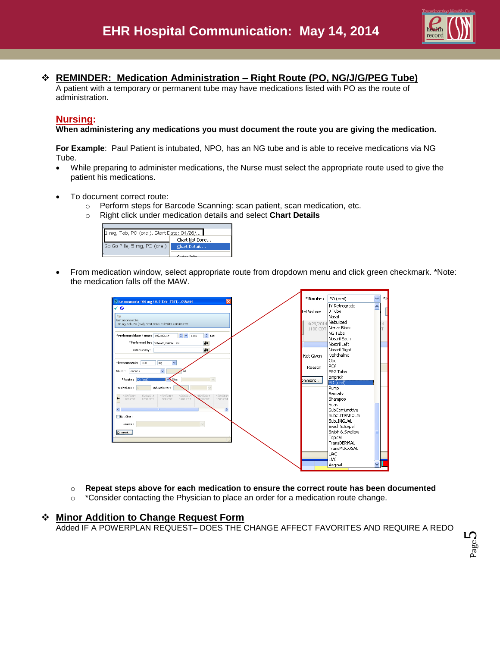

### **REMINDER: Medication Administration – Right Route (PO, NG/J/G/PEG Tube)**

A patient with a temporary or permanent tube may have medications listed with PO as the route of administration.

#### **Nursing:**

**When administering any medications you must document the route you are giving the medication.** 

**For Example**: Paul Patient is intubated, NPO, has an NG tube and is able to receive medications via NG Tube.

- While preparing to administer medications, the Nurse must select the appropriate route used to give the patient his medications.
- To document correct route:
	- o Perform steps for Barcode Scanning: scan patient, scan medication, etc.
	- o Right click under medication details and select **Chart Details**



 From medication window, select appropriate route from dropdown menu and click green checkmark. \*Note: the medication falls off the MAW.

| Retoconazole 100 mg / 0.5 Tab: TEST, LOUANN                                | *Route :     | PO (oral)           | Ÿ | Sit |
|----------------------------------------------------------------------------|--------------|---------------------|---|-----|
| √ o                                                                        |              | IV Retrograde       |   |     |
|                                                                            | tal Volume : | J Tube              |   |     |
| $\overline{a}$                                                             |              | İNasal              |   |     |
| ketoconazole<br>100 mg, Tab, PO (oral), Start Date: 04/29/14 9:00:00 CDT   |              | 4/29/2014 Nebulized |   |     |
|                                                                            | 1100 CDT     | Nerve Block         |   |     |
| $\hat{z}$ CDT<br>$\div$<br>*Performed date / time: 04/29/2014<br>1250      |              | ING Tube            |   |     |
|                                                                            |              | Nostril Each        |   |     |
| *Performed by: Schmidt, Kristin L RN<br>酶                                  |              | Nostril Left        |   |     |
| 菡<br>Witnessed by:                                                         |              | Nostril Right       |   |     |
|                                                                            | Not Given    | Ophthalmic          |   |     |
| $\overline{\mathbf{v}}$<br>100<br>*ketoconazole:<br>mg                     |              | <b>Otic</b>         |   |     |
|                                                                            | Reason:      | PCA                 |   |     |
| $\checkmark$<br><none><br/>Diluent:  </none>                               |              | lPEG Tube           |   |     |
| *Route: PO (oral)<br>$\sqrt{\text{Ste}}$<br>$\checkmark$                   | bmment       | pinprick            |   |     |
|                                                                            |              | PO (oral)           |   |     |
| Infused Over:<br>Total Volume :<br>$\Omega$<br>$\checkmark$                |              | Pump                |   |     |
| 4/29/2014<br>4/29/2014<br>4/29/2014<br>4/29/2014<br>4/29/2014<br>4/29/2014 |              | Rectally            |   |     |
| 1100 CDT<br>1200 CDT<br>1300 CDT<br>1400 CDT<br>1600 CDT<br><b>200 CDT</b> |              | Shampoo             |   |     |
|                                                                            |              | <b>Soak</b>         |   |     |
| $\rightarrow$<br>∢<br>m.                                                   |              | SubConjunctiva      |   |     |
| Not Given                                                                  |              | SubCUTANEOUS        |   |     |
| Reason:                                                                    |              | SubLINGUAL          |   |     |
|                                                                            |              | Swish & Expel       |   |     |
| Comment                                                                    |              | Swish & Swallow     |   |     |
|                                                                            |              | Topical             |   |     |
|                                                                            |              | TransDERMAL         |   |     |
|                                                                            |              | TransMUCOSAL        |   |     |
|                                                                            |              | luac                |   |     |
|                                                                            |              | UVC                 |   |     |
|                                                                            |              | Vaginal             |   |     |
|                                                                            |              |                     |   |     |

- o **Repeat steps above for each medication to ensure the correct route has been documented**
- $\circ$  \*Consider contacting the Physician to place an order for a medication route change.

#### **Minor Addition to Change Request Form**

Added IF A POWERPLAN REQUEST– DOES THE CHANGE AFFECT FAVORITES AND REQUIRE A REDO